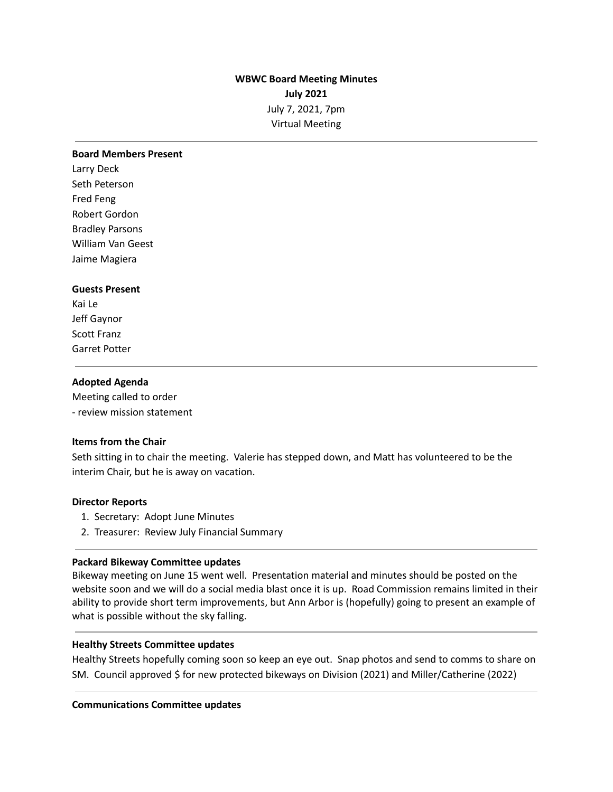# **WBWC Board Meeting Minutes July 2021** July 7, 2021, 7pm Virtual Meeting

#### **Board Members Present**

Larry Deck Seth Peterson Fred Feng Robert Gordon Bradley Parsons William Van Geest Jaime Magiera

### **Guests Present**

Kai Le Jeff Gaynor Scott Franz Garret Potter

#### **Adopted Agenda**

Meeting called to order - review mission statement

### **Items from the Chair**

Seth sitting in to chair the meeting. Valerie has stepped down, and Matt has volunteered to be the interim Chair, but he is away on vacation.

#### **Director Reports**

- 1. Secretary: Adopt June Minutes
- 2. Treasurer: Review July Financial Summary

#### **Packard Bikeway Committee updates**

Bikeway meeting on June 15 went well. Presentation material and minutes should be posted on the website soon and we will do a social media blast once it is up. Road Commission remains limited in their ability to provide short term improvements, but Ann Arbor is (hopefully) going to present an example of what is possible without the sky falling.

#### **Healthy Streets Committee updates**

Healthy Streets hopefully coming soon so keep an eye out. Snap photos and send to comms to share on SM. Council approved \$ for new protected bikeways on Division (2021) and Miller/Catherine (2022)

#### **Communications Committee updates**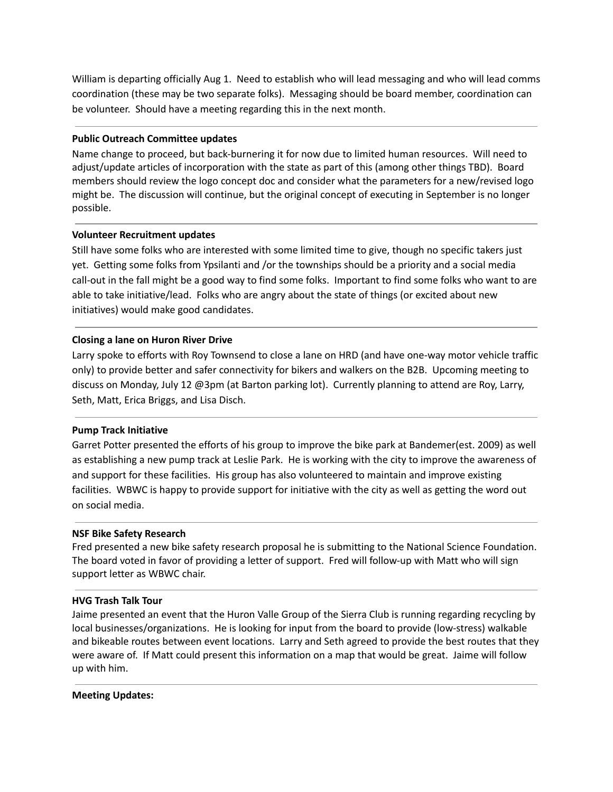William is departing officially Aug 1. Need to establish who will lead messaging and who will lead comms coordination (these may be two separate folks). Messaging should be board member, coordination can be volunteer. Should have a meeting regarding this in the next month.

### **Public Outreach Committee updates**

Name change to proceed, but back-burnering it for now due to limited human resources. Will need to adjust/update articles of incorporation with the state as part of this (among other things TBD). Board members should review the logo concept doc and consider what the parameters for a new/revised logo might be. The discussion will continue, but the original concept of executing in September is no longer possible.

### **Volunteer Recruitment updates**

Still have some folks who are interested with some limited time to give, though no specific takers just yet. Getting some folks from Ypsilanti and /or the townships should be a priority and a social media call-out in the fall might be a good way to find some folks. Important to find some folks who want to are able to take initiative/lead. Folks who are angry about the state of things (or excited about new initiatives) would make good candidates.

# **Closing a lane on Huron River Drive**

Larry spoke to efforts with Roy Townsend to close a lane on HRD (and have one-way motor vehicle traffic only) to provide better and safer connectivity for bikers and walkers on the B2B. Upcoming meeting to discuss on Monday, July 12 @3pm (at Barton parking lot). Currently planning to attend are Roy, Larry, Seth, Matt, Erica Briggs, and Lisa Disch.

# **Pump Track Initiative**

Garret Potter presented the efforts of his group to improve the bike park at Bandemer(est. 2009) as well as establishing a new pump track at Leslie Park. He is working with the city to improve the awareness of and support for these facilities. His group has also volunteered to maintain and improve existing facilities. WBWC is happy to provide support for initiative with the city as well as getting the word out on social media.

# **NSF Bike Safety Research**

Fred presented a new bike safety research proposal he is submitting to the National Science Foundation. The board voted in favor of providing a letter of support. Fred will follow-up with Matt who will sign support letter as WBWC chair.

### **HVG Trash Talk Tour**

Jaime presented an event that the Huron Valle Group of the Sierra Club is running regarding recycling by local businesses/organizations. He is looking for input from the board to provide (low-stress) walkable and bikeable routes between event locations. Larry and Seth agreed to provide the best routes that they were aware of. If Matt could present this information on a map that would be great. Jaime will follow up with him.

### **Meeting Updates:**